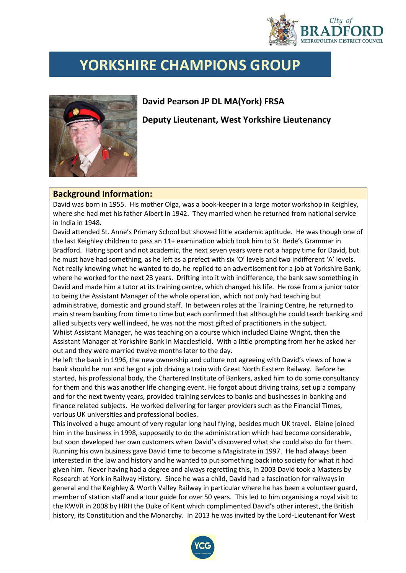

## **YORKSHIRE CHAMPIONS GROUP**



## **David Pearson JP DL MA(York) FRSA**

**Deputy Lieutenant, West Yorkshire Lieutenancy**

## **Background Information:**

David was born in 1955. His mother Olga, was a book-keeper in a large motor workshop in Keighley, where she had met his father Albert in 1942. They married when he returned from national service in India in 1948.

David attended St. Anne's Primary School but showed little academic aptitude. He was though one of the last Keighley children to pass an 11+ examination which took him to St. Bede's Grammar in Bradford. Hating sport and not academic, the next seven years were not a happy time for David, but he must have had something, as he left as a prefect with six 'O' levels and two indifferent 'A' levels. Not really knowing what he wanted to do, he replied to an advertisement for a job at Yorkshire Bank, where he worked for the next 23 years. Drifting into it with indifference, the bank saw something in David and made him a tutor at its training centre, which changed his life. He rose from a junior tutor to being the Assistant Manager of the whole operation, which not only had teaching but administrative, domestic and ground staff. In between roles at the Training Centre, he returned to main stream banking from time to time but each confirmed that although he could teach banking and allied subjects very well indeed, he was not the most gifted of practitioners in the subject. Whilst Assistant Manager, he was teaching on a course which included Elaine Wright, then the Assistant Manager at Yorkshire Bank in Macclesfield. With a little prompting from her he asked her

out and they were married twelve months later to the day. He left the bank in 1996, the new ownership and culture not agreeing with David's views of how a bank should be run and he got a job driving a train with Great North Eastern Railway. Before he started, his professional body, the Chartered Institute of Bankers, asked him to do some consultancy for them and this was another life changing event. He forgot about driving trains, set up a company and for the next twenty years, provided training services to banks and businesses in banking and finance related subjects. He worked delivering for larger providers such as the Financial Times, various UK universities and professional bodies.

This involved a huge amount of very regular long haul flying, besides much UK travel. Elaine joined him in the business in 1998, supposedly to do the administration which had become considerable, but soon developed her own customers when David's discovered what she could also do for them. Running his own business gave David time to become a Magistrate in 1997. He had always been interested in the law and history and he wanted to put something back into society for what it had given him. Never having had a degree and always regretting this, in 2003 David took a Masters by Research at York in Railway History. Since he was a child, David had a fascination for railways in general and the Keighley & Worth Valley Railway in particular where he has been a volunteer guard, member of station staff and a tour guide for over 50 years. This led to him organising a royal visit to the KWVR in 2008 by HRH the Duke of Kent which complimented David's other interest, the British history, its Constitution and the Monarchy. In 2013 he was invited by the Lord-Lieutenant for West